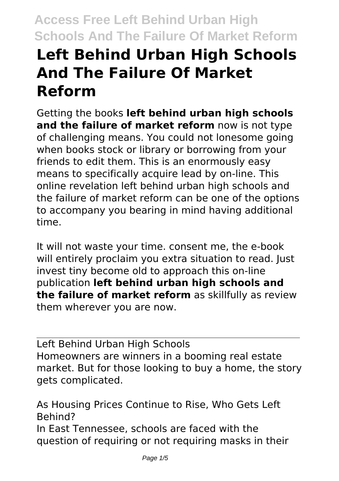## **Left Behind Urban High Schools And The Failure Of Market Reform**

Getting the books **left behind urban high schools and the failure of market reform** now is not type of challenging means. You could not lonesome going when books stock or library or borrowing from your friends to edit them. This is an enormously easy means to specifically acquire lead by on-line. This online revelation left behind urban high schools and the failure of market reform can be one of the options to accompany you bearing in mind having additional time.

It will not waste your time. consent me, the e-book will entirely proclaim you extra situation to read. Just invest tiny become old to approach this on-line publication **left behind urban high schools and the failure of market reform** as skillfully as review them wherever you are now.

Left Behind Urban High Schools Homeowners are winners in a booming real estate market. But for those looking to buy a home, the story gets complicated.

As Housing Prices Continue to Rise, Who Gets Left Behind? In East Tennessee, schools are faced with the question of requiring or not requiring masks in their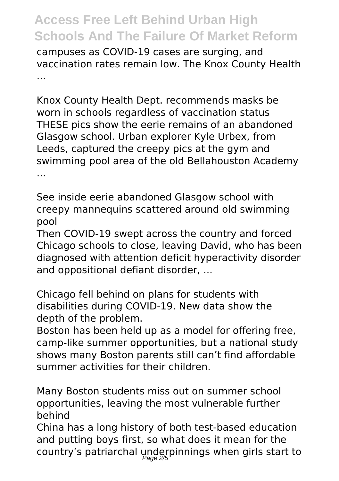campuses as COVID-19 cases are surging, and vaccination rates remain low. The Knox County Health ...

Knox County Health Dept. recommends masks be worn in schools regardless of vaccination status THESE pics show the eerie remains of an abandoned Glasgow school. Urban explorer Kyle Urbex, from Leeds, captured the creepy pics at the gym and swimming pool area of the old Bellahouston Academy ...

See inside eerie abandoned Glasgow school with creepy mannequins scattered around old swimming pool

Then COVID-19 swept across the country and forced Chicago schools to close, leaving David, who has been diagnosed with attention deficit hyperactivity disorder and oppositional defiant disorder, ...

Chicago fell behind on plans for students with disabilities during COVID-19. New data show the depth of the problem.

Boston has been held up as a model for offering free, camp-like summer opportunities, but a national study shows many Boston parents still can't find affordable summer activities for their children.

Many Boston students miss out on summer school opportunities, leaving the most vulnerable further behind

China has a long history of both test-based education and putting boys first, so what does it mean for the country's patriarchal underpinnings when girls start to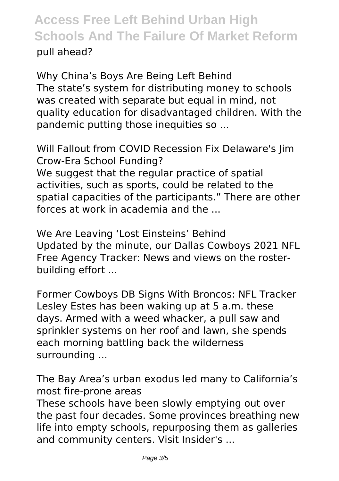pull ahead?

Why China's Boys Are Being Left Behind The state's system for distributing money to schools was created with separate but equal in mind, not quality education for disadvantaged children. With the pandemic putting those inequities so ...

Will Fallout from COVID Recession Fix Delaware's Jim Crow-Era School Funding? We suggest that the regular practice of spatial activities, such as sports, could be related to the spatial capacities of the participants." There are other forces at work in academia and the

We Are Leaving 'Lost Einsteins' Behind Updated by the minute, our Dallas Cowboys 2021 NFL Free Agency Tracker: News and views on the rosterbuilding effort ...

Former Cowboys DB Signs With Broncos: NFL Tracker Lesley Estes has been waking up at 5 a.m. these days. Armed with a weed whacker, a pull saw and sprinkler systems on her roof and lawn, she spends each morning battling back the wilderness surrounding ...

The Bay Area's urban exodus led many to California's most fire-prone areas These schools have been slowly emptying out over the past four decades. Some provinces breathing new life into empty schools, repurposing them as galleries and community centers. Visit Insider's ...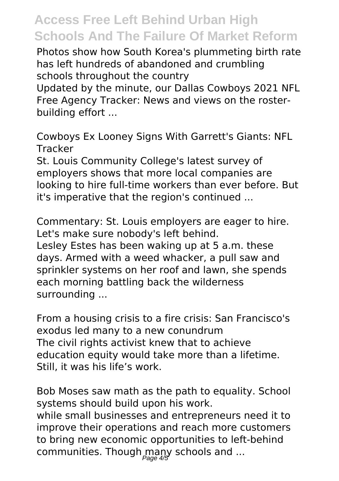Photos show how South Korea's plummeting birth rate has left hundreds of abandoned and crumbling schools throughout the country

Updated by the minute, our Dallas Cowboys 2021 NFL Free Agency Tracker: News and views on the rosterbuilding effort ...

Cowboys Ex Looney Signs With Garrett's Giants: NFL Tracker

St. Louis Community College's latest survey of employers shows that more local companies are looking to hire full-time workers than ever before. But it's imperative that the region's continued ...

Commentary: St. Louis employers are eager to hire. Let's make sure nobody's left behind. Lesley Estes has been waking up at 5 a.m. these days. Armed with a weed whacker, a pull saw and sprinkler systems on her roof and lawn, she spends each morning battling back the wilderness surrounding ...

From a housing crisis to a fire crisis: San Francisco's exodus led many to a new conundrum The civil rights activist knew that to achieve education equity would take more than a lifetime. Still, it was his life's work.

Bob Moses saw math as the path to equality. School systems should build upon his work. while small businesses and entrepreneurs need it to improve their operations and reach more customers to bring new economic opportunities to left-behind communities. Though many schools and ...